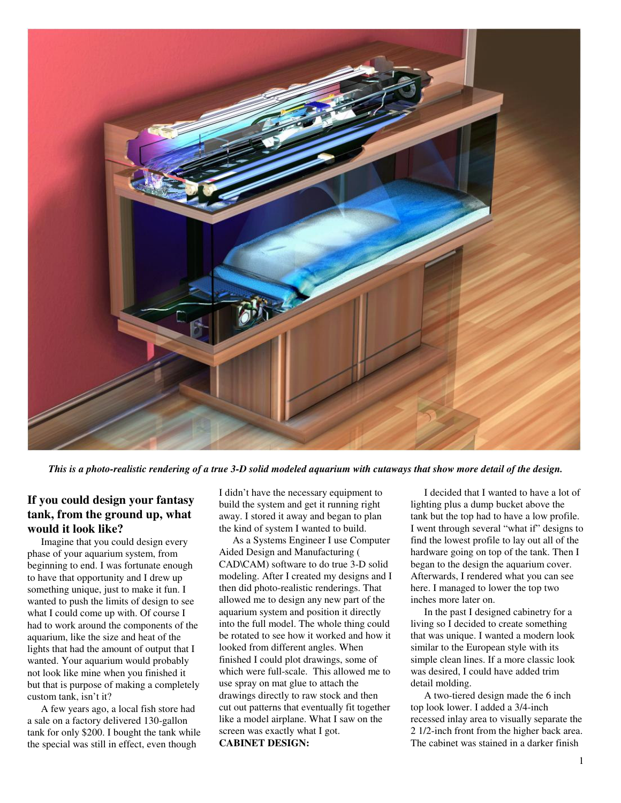

This is a photo-realistic rendering of a true 3-D solid modeled aquarium with cutaways that show more detail of the design.

# **If you could design your fantasy tank, from the ground up, what would it look like?**

Imagine that you could design every phase of your aquarium system, from beginning to end. I was fortunate enough to have that opportunity and I drew up something unique, just to make it fun. I wanted to push the limits of design to see what I could come up with. Of course I had to work around the components of the aquarium, like the size and heat of the lights that had the amount of output that I wanted. Your aquarium would probably not look like mine when you finished it but that is purpose of making a completely custom tank, isn't it?

A few years ago, a local fish store had a sale on a factory delivered 130-gallon tank for only \$200. I bought the tank while the special was still in effect, even though

I didn't have the necessary equipment to build the system and get it running right away. I stored it away and began to plan the kind of system I wanted to build.

As a Systems Engineer I use Computer Aided Design and Manufacturing ( CAD\CAM) software to do true 3-D solid modeling. After I created my designs and I then did photo-realistic renderings. That allowed me to design any new part of the aquarium system and position it directly into the full model. The whole thing could be rotated to see how it worked and how it looked from different angles. When finished I could plot drawings, some of which were full-scale. This allowed me to use spray on mat glue to attach the drawings directly to raw stock and then cut out patterns that eventually fit together like a model airplane. What I saw on the screen was exactly what I got. **CABINET DESIGN:**

I decided that I wanted to have a lot of lighting plus a dump bucket above the tank but the top had to have a low profile. I went through several "what if" designs to find the lowest profile to lay out all of the hardware going on top of the tank. Then I began to the design the aquarium cover. Afterwards, I rendered what you can see here. I managed to lower the top two inches more later on.

In the past I designed cabinetry for a living so I decided to create something that was unique. I wanted a modern look similar to the European style with its simple clean lines. If a more classic look was desired, I could have added trim detail molding.

A two-tiered design made the 6 inch top look lower. I added a 3/4-inch recessed inlay area to visually separate the 2 1/2-inch front from the higher back area. The cabinet was stained in a darker finish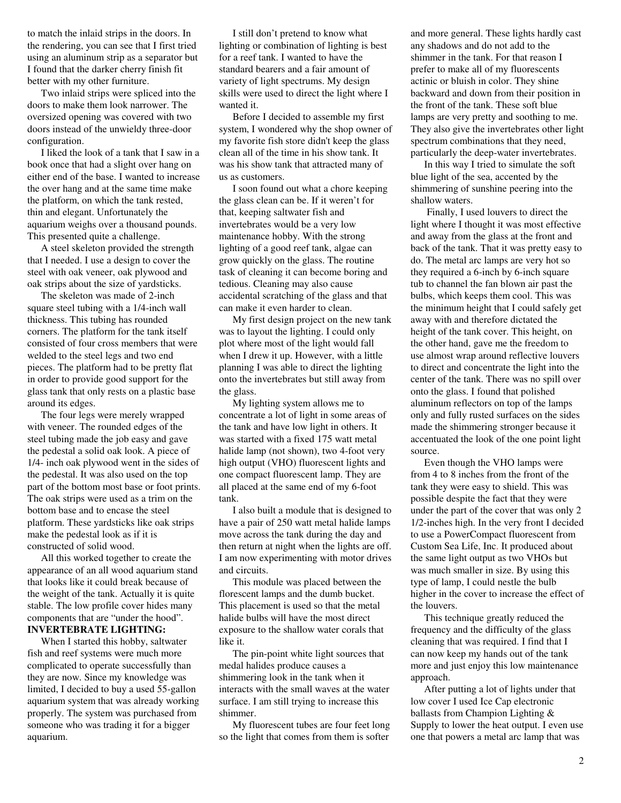to match the inlaid strips in the doors. In the rendering, you can see that I first tried using an aluminum strip as a separator but I found that the darker cherry finish fit better with my other furniture.

Two inlaid strips were spliced into the doors to make them look narrower. The oversized opening was covered with two doors instead of the unwieldy three-door configuration.

I liked the look of a tank that I saw in a book once that had a slight over hang on either end of the base. I wanted to increase the over hang and at the same time make the platform, on which the tank rested, thin and elegant. Unfortunately the aquarium weighs over a thousand pounds. This presented quite a challenge.

A steel skeleton provided the strength that I needed. I use a design to cover the steel with oak veneer, oak plywood and oak strips about the size of yardsticks.

The skeleton was made of 2-inch square steel tubing with a 1/4-inch wall thickness. This tubing has rounded corners. The platform for the tank itself consisted of four cross members that were welded to the steel legs and two end pieces. The platform had to be pretty flat in order to provide good support for the glass tank that only rests on a plastic base around its edges.

The four legs were merely wrapped with veneer. The rounded edges of the steel tubing made the job easy and gave the pedestal a solid oak look. A piece of 1/4- inch oak plywood went in the sides of the pedestal. It was also used on the top part of the bottom most base or foot prints. The oak strips were used as a trim on the bottom base and to encase the steel platform. These yardsticks like oak strips make the pedestal look as if it is constructed of solid wood.

All this worked together to create the appearance of an all wood aquarium stand that looks like it could break because of the weight of the tank. Actually it is quite stable. The low profile cover hides many components that are "under the hood". **INVERTEBRATE LIGHTING:**

When I started this hobby, saltwater fish and reef systems were much more complicated to operate successfully than they are now. Since my knowledge was limited, I decided to buy a used 55-gallon aquarium system that was already working properly. The system was purchased from someone who was trading it for a bigger aquarium.

I still don't pretend to know what lighting or combination of lighting is best for a reef tank. I wanted to have the standard bearers and a fair amount of variety of light spectrums. My design skills were used to direct the light where I wanted it.

Before I decided to assemble my first system, I wondered why the shop owner of my favorite fish store didn't keep the glass clean all of the time in his show tank. It was his show tank that attracted many of us as customers.

I soon found out what a chore keeping the glass clean can be. If it weren't for that, keeping saltwater fish and invertebrates would be a very low maintenance hobby. With the strong lighting of a good reef tank, algae can grow quickly on the glass. The routine task of cleaning it can become boring and tedious. Cleaning may also cause accidental scratching of the glass and that can make it even harder to clean.

My first design project on the new tank was to layout the lighting. I could only plot where most of the light would fall when I drew it up. However, with a little planning I was able to direct the lighting onto the invertebrates but still away from the glass.

My lighting system allows me to concentrate a lot of light in some areas of the tank and have low light in others. It was started with a fixed 175 watt metal halide lamp (not shown), two 4-foot very high output (VHO) fluorescent lights and one compact fluorescent lamp. They are all placed at the same end of my 6-foot tank.

I also built a module that is designed to have a pair of 250 watt metal halide lamps move across the tank during the day and then return at night when the lights are off. I am now experimenting with motor drives and circuits.

This module was placed between the florescent lamps and the dumb bucket. This placement is used so that the metal halide bulbs will have the most direct exposure to the shallow water corals that like it.

The pin-point white light sources that medal halides produce causes a shimmering look in the tank when it interacts with the small waves at the water surface. I am still trying to increase this shimmer.

My fluorescent tubes are four feet long so the light that comes from them is softer and more general. These lights hardly cast any shadows and do not add to the shimmer in the tank. For that reason I prefer to make all of my fluorescents actinic or bluish in color. They shine backward and down from their position in the front of the tank. These soft blue lamps are very pretty and soothing to me. They also give the invertebrates other light spectrum combinations that they need, particularly the deep-water invertebrates.

In this way I tried to simulate the soft blue light of the sea, accented by the shimmering of sunshine peering into the shallow waters.

Finally, I used louvers to direct the light where I thought it was most effective and away from the glass at the front and back of the tank. That it was pretty easy to do. The metal arc lamps are very hot so they required a 6-inch by 6-inch square tub to channel the fan blown air past the bulbs, which keeps them cool. This was the minimum height that I could safely get away with and therefore dictated the height of the tank cover. This height, on the other hand, gave me the freedom to use almost wrap around reflective louvers to direct and concentrate the light into the center of the tank. There was no spill over onto the glass. I found that polished aluminum reflectors on top of the lamps only and fully rusted surfaces on the sides made the shimmering stronger because it accentuated the look of the one point light source.

Even though the VHO lamps were from 4 to 8 inches from the front of the tank they were easy to shield. This was possible despite the fact that they were under the part of the cover that was only 2 1/2-inches high. In the very front I decided to use a PowerCompact fluorescent from Custom Sea Life, Inc. It produced about the same light output as two VHOs but was much smaller in size. By using this type of lamp, I could nestle the bulb higher in the cover to increase the effect of the louvers.

This technique greatly reduced the frequency and the difficulty of the glass cleaning that was required. I find that I can now keep my hands out of the tank more and just enjoy this low maintenance approach.

After putting a lot of lights under that low cover I used Ice Cap electronic ballasts from Champion Lighting & Supply to lower the heat output. I even use one that powers a metal arc lamp that was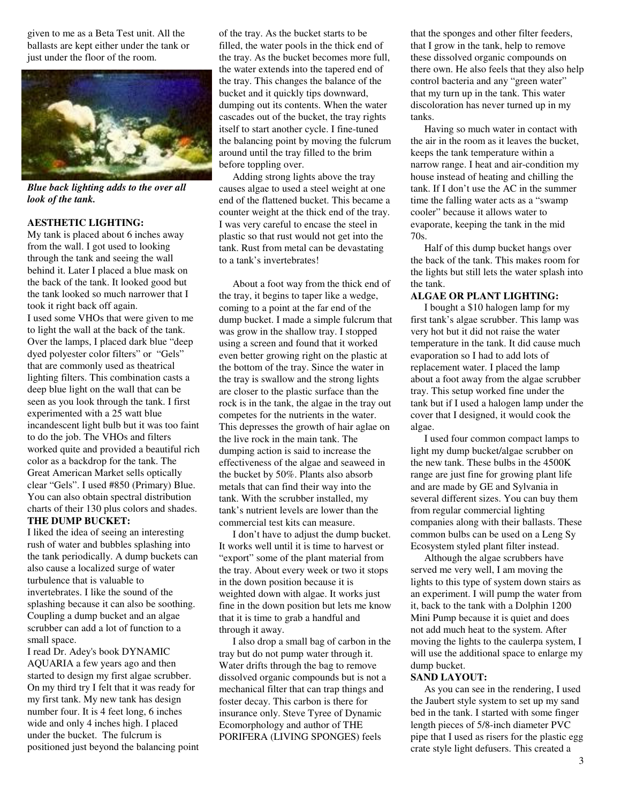given to me as a Beta Test unit. All the ballasts are kept either under the tank or just under the floor of the room.



*Blue back lighting adds to the over all look of the tank.*

### **AESTHETIC LIGHTING:**

My tank is placed about 6 inches away from the wall. I got used to looking through the tank and seeing the wall behind it. Later I placed a blue mask on the back of the tank. It looked good but the tank looked so much narrower that I took it right back off again. I used some VHOs that were given to me to light the wall at the back of the tank. Over the lamps, I placed dark blue "deep dyed polyester color filters" or "Gels" that are commonly used as theatrical lighting filters. This combination casts a deep blue light on the wall that can be seen as you look through the tank. I first experimented with a 25 watt blue incandescent light bulb but it was too faint to do the job. The VHOs and filters worked quite and provided a beautiful rich color as a backdrop for the tank. The Great American Market sells optically clear "Gels". I used #850 (Primary) Blue. You can also obtain spectral distribution charts of their 130 plus colors and shades. **THE DUMP BUCKET:**

I liked the idea of seeing an interesting rush of water and bubbles splashing into the tank periodically. A dump buckets can also cause a localized surge of water turbulence that is valuable to invertebrates. I like the sound of the splashing because it can also be soothing. Coupling a dump bucket and an algae scrubber can add a lot of function to a small space.

I read Dr. Adey's book DYNAMIC AQUARIA a few years ago and then started to design my first algae scrubber. On my third try I felt that it was ready for my first tank. My new tank has design number four. It is 4 feet long, 6 inches wide and only 4 inches high. I placed under the bucket. The fulcrum is positioned just beyond the balancing point of the tray. As the bucket starts to be filled, the water pools in the thick end of the tray. As the bucket becomes more full, the water extends into the tapered end of the tray. This changes the balance of the bucket and it quickly tips downward, dumping out its contents. When the water cascades out of the bucket, the tray rights itself to start another cycle. I fine-tuned the balancing point by moving the fulcrum around until the tray filled to the brim before toppling over.

Adding strong lights above the tray causes algae to used a steel weight at one end of the flattened bucket. This became a counter weight at the thick end of the tray. I was very careful to encase the steel in plastic so that rust would not get into the tank. Rust from metal can be devastating to a tank's invertebrates!

About a foot way from the thick end of the tray, it begins to taper like a wedge, coming to a point at the far end of the dump bucket. I made a simple fulcrum that was grow in the shallow tray. I stopped using a screen and found that it worked even better growing right on the plastic at the bottom of the tray. Since the water in the tray is swallow and the strong lights are closer to the plastic surface than the rock is in the tank, the algae in the tray out competes for the nutrients in the water. This depresses the growth of hair aglae on the live rock in the main tank. The dumping action is said to increase the effectiveness of the algae and seaweed in the bucket by 50%. Plants also absorb metals that can find their way into the tank. With the scrubber installed, my tank's nutrient levels are lower than the commercial test kits can measure.

I don't have to adjust the dump bucket. It works well until it is time to harvest or "export" some of the plant material from the tray. About every week or two it stops in the down position because it is weighted down with algae. It works just fine in the down position but lets me know that it is time to grab a handful and through it away.

I also drop a small bag of carbon in the tray but do not pump water through it. Water drifts through the bag to remove dissolved organic compounds but is not a mechanical filter that can trap things and foster decay. This carbon is there for insurance only. Steve Tyree of Dynamic Ecomorphology and author of THE PORIFERA (LIVING SPONGES) feels

that the sponges and other filter feeders, that I grow in the tank, help to remove these dissolved organic compounds on there own. He also feels that they also help control bacteria and any "green water" that my turn up in the tank. This water discoloration has never turned up in my tanks.

Having so much water in contact with the air in the room as it leaves the bucket, keeps the tank temperature within a narrow range. I heat and air-condition my house instead of heating and chilling the tank. If I don't use the AC in the summer time the falling water acts as a "swamp cooler" because it allows water to evaporate, keeping the tank in the mid 70s.

Half of this dump bucket hangs over the back of the tank. This makes room for the lights but still lets the water splash into the tank.

## **ALGAE OR PLANT LIGHTING:**

I bought a \$10 halogen lamp for my first tank's algae scrubber. This lamp was very hot but it did not raise the water temperature in the tank. It did cause much evaporation so I had to add lots of replacement water. I placed the lamp about a foot away from the algae scrubber tray. This setup worked fine under the tank but if I used a halogen lamp under the cover that I designed, it would cook the algae.

I used four common compact lamps to light my dump bucket/algae scrubber on the new tank. These bulbs in the 4500K range are just fine for growing plant life and are made by GE and Sylvania in several different sizes. You can buy them from regular commercial lighting companies along with their ballasts. These common bulbs can be used on a Leng Sy Ecosystem styled plant filter instead.

Although the algae scrubbers have served me very well, I am moving the lights to this type of system down stairs as an experiment. I will pump the water from it, back to the tank with a Dolphin 1200 Mini Pump because it is quiet and does not add much heat to the system. After moving the lights to the caulerpa system, I will use the additional space to enlarge my dump bucket.

#### **SAND LAYOUT:**

As you can see in the rendering, I used the Jaubert style system to set up my sand bed in the tank. I started with some finger length pieces of 5/8-inch diameter PVC pipe that I used as risers for the plastic egg crate style light defusers. This created a